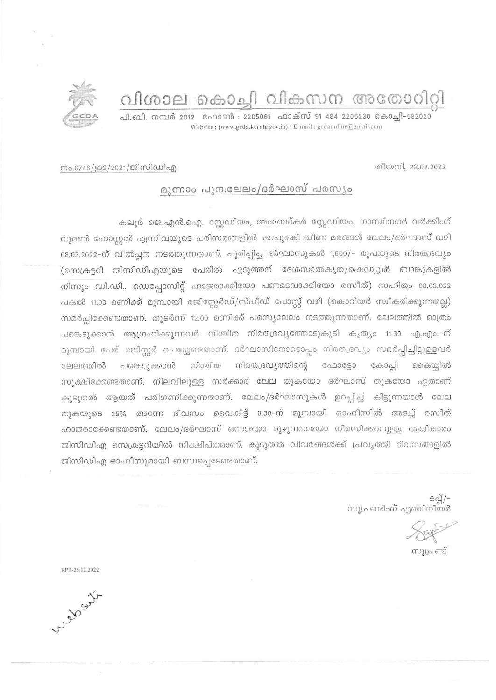വിശാല കൊച്ചി വികസന അതോറിറ്റി

പി.ബി. നമ്പർ 2012 - ഫോൺ : 2205061 - ഫാക്സ് 91 484 2206230 കൊച്ചി-682020 Website: (www.gcda.kerala.gov.in); E-mail: gcdaonline@gmail.com



## നം.6746/ഇ2/2021/ജിസിഡിഎ

## മുന്നാം പുന:ലേലം/ദർഘാസ് പരസ്യം

കലൂർ ജെ.എൻ.ഐ. സ്റ്റേഡിയം, അംബേദ്കർ സ്റ്റേഡിയം, ഗാന്ധിനഗർ വർക്കിംഗ് വുമൺ ഹോസ്റ്റൽ എന്നിവയുടെ പരിസരങ്ങളിൽ കടപുഴകി വീണ മരങ്ങൾ ലേലം/ദർഘാസ് വഴി 08.03.2022-ന് വിൽപ്പന നടത്തുന്നതാണ്. പൂരിപ്പിച്ച ദർഘാസുകൾ 1,500/- രൂപയുടെ നിരതദ്രവ്യം (സെക്രട്ടറി ജിസിഡിഎയുടെ പേരിൽ എടുത്തത് ദേശസാൽകൃത/ഷെഡ്യൂൾ ബാങ്കുകളിൽ നിന്നും ഡി.ഡി., ഡെപ്പോസിറ്റ് ഹാജരാക്കിയോ പണമടവാക്കിയോ രസീത്) സഹിതം 08.03.022 പകൽ 11.00 മണിക്ക് മുമ്പായി രജിസ്റ്റേർഡ്/സ്പീഡ് പോസ്റ്റ് വഴി (കൊറിയർ സ്വീകരിക്കുന്നതല്ല) സമർപ്പിക്കേണ്ടതാണ്. തുടർന്ന് 12.00 മണിക്ക് പരസ്യലേലം നടത്തുന്നതാണ്. ലേലത്തിൽ മാത്രം പങ്കെടുക്കാൻ ആഗ്രഹിക്കുന്നവർ നിശ്ചിത നിരതദ്രവ്യത്തോടുകൂടി കൃത്യം 11.30 എ.എം.-ന് മുമ്പായി പേര് രജിസ്റ്റർ ചെയ്യേണ്ടതാണ്. ദർഘാസിനോടൊപ്പം നിരതദ്രവ്യം സമർപ്പിച്ചിട്ടുള്ളവർ ലേലത്തിൽ പങ്കെടുക്കാൻ നിശ്ചിത നിരതദ്രവ്യത്തിന്റെ ഫോട്ടോ കോപ്പി കൈയ്യിൽ സൂക്ഷിക്കേണ്ടതാണ്. നിലവിലുള്ള സർക്കാർ ലേല തുകയോ ദർഘാസ് തുകയോ ഏതാണ് കൂടുതൽ ആയത് പരിഗണിക്കുന്നതാണ്. ലേലം/ദർഘാസുകൾ ഉറപ്പിച്ച് കിട്ടുന്നയാൾ ലേല തുകയുടെ 25% അന്നേ ദിവസം വൈകിട്ട് 3.30-ന് മുമ്പായി ഓഫീസിൽ അടച്ച് രസീത് ഹാജരാക്കേണ്ടതാണ്. ലേലം/ദർഘാസ് ഒന്നായോ മുഴുവനായോ നിരസിക്കാനുള്ള അധികാരം ജിസിഡിഎ സെക്രട്ടറിയിൽ നിക്ഷിപ്തമാണ്. കൂടുതൽ വിവരങ്ങൾക്ക് പ്രവൃത്തി ദിവസങ്ങളിൽ ജിസിഡിഎ ഓഫീസുമായി ബന്ധപ്പെടേണ്ടതാണ്.

-/[്കെ<br>സൂപ്രണ്ടിംഗ് എഞ്ചിനീയർ

സൂപ്രണ്ട്

RPR-25.02.2022

the day